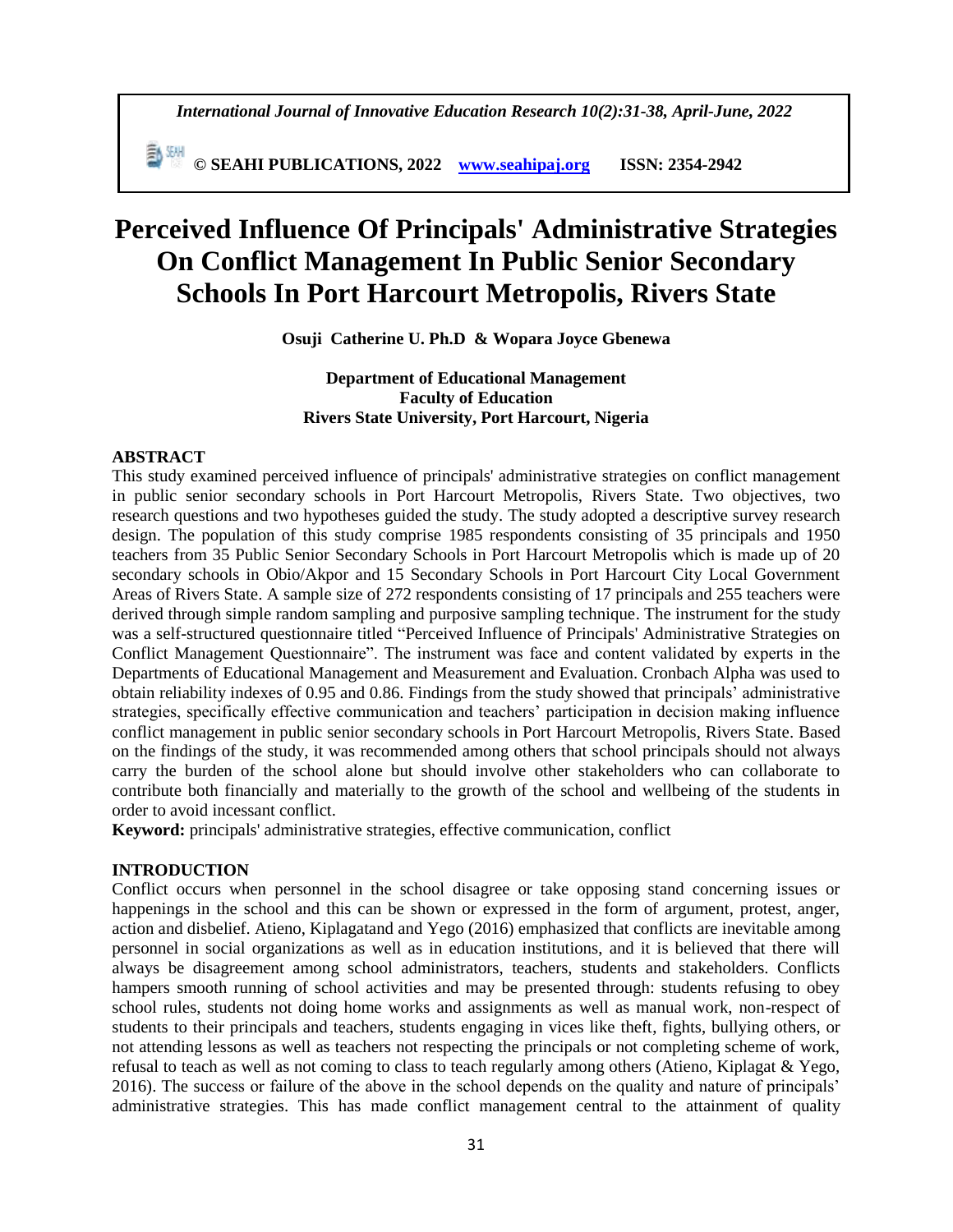**© SEAHI PUBLICATIONS, 2022 [www.seahipaj.org](http://www.seahipaj.org/) ISSN: 2354-2942**

# **Perceived Influence Of Principals' Administrative Strategies On Conflict Management In Public Senior Secondary Schools In Port Harcourt Metropolis, Rivers State**

**Osuji Catherine U. Ph.D & Wopara Joyce Gbenewa**

# **Department of Educational Management Faculty of Education Rivers State University, Port Harcourt, Nigeria**

## **ABSTRACT**

This study examined perceived influence of principals' administrative strategies on conflict management in public senior secondary schools in Port Harcourt Metropolis, Rivers State. Two objectives, two research questions and two hypotheses guided the study. The study adopted a descriptive survey research design. The population of this study comprise 1985 respondents consisting of 35 principals and 1950 teachers from 35 Public Senior Secondary Schools in Port Harcourt Metropolis which is made up of 20 secondary schools in Obio/Akpor and 15 Secondary Schools in Port Harcourt City Local Government Areas of Rivers State. A sample size of 272 respondents consisting of 17 principals and 255 teachers were derived through simple random sampling and purposive sampling technique. The instrument for the study was a self-structured questionnaire titled "Perceived Influence of Principals' Administrative Strategies on Conflict Management Questionnaire". The instrument was face and content validated by experts in the Departments of Educational Management and Measurement and Evaluation. Cronbach Alpha was used to obtain reliability indexes of 0.95 and 0.86. Findings from the study showed that principals' administrative strategies, specifically effective communication and teachers' participation in decision making influence conflict management in public senior secondary schools in Port Harcourt Metropolis, Rivers State. Based on the findings of the study, it was recommended among others that school principals should not always carry the burden of the school alone but should involve other stakeholders who can collaborate to contribute both financially and materially to the growth of the school and wellbeing of the students in order to avoid incessant conflict.

**Keyword:** principals' administrative strategies, effective communication, conflict

## **INTRODUCTION**

Conflict occurs when personnel in the school disagree or take opposing stand concerning issues or happenings in the school and this can be shown or expressed in the form of argument, protest, anger, action and disbelief. Atieno, Kiplagatand and Yego (2016) emphasized that conflicts are inevitable among personnel in social organizations as well as in education institutions, and it is believed that there will always be disagreement among school administrators, teachers, students and stakeholders. Conflicts hampers smooth running of school activities and may be presented through: students refusing to obey school rules, students not doing home works and assignments as well as manual work, non-respect of students to their principals and teachers, students engaging in vices like theft, fights, bullying others, or not attending lessons as well as teachers not respecting the principals or not completing scheme of work, refusal to teach as well as not coming to class to teach regularly among others (Atieno, Kiplagat & Yego, 2016). The success or failure of the above in the school depends on the quality and nature of principals' administrative strategies. This has made conflict management central to the attainment of quality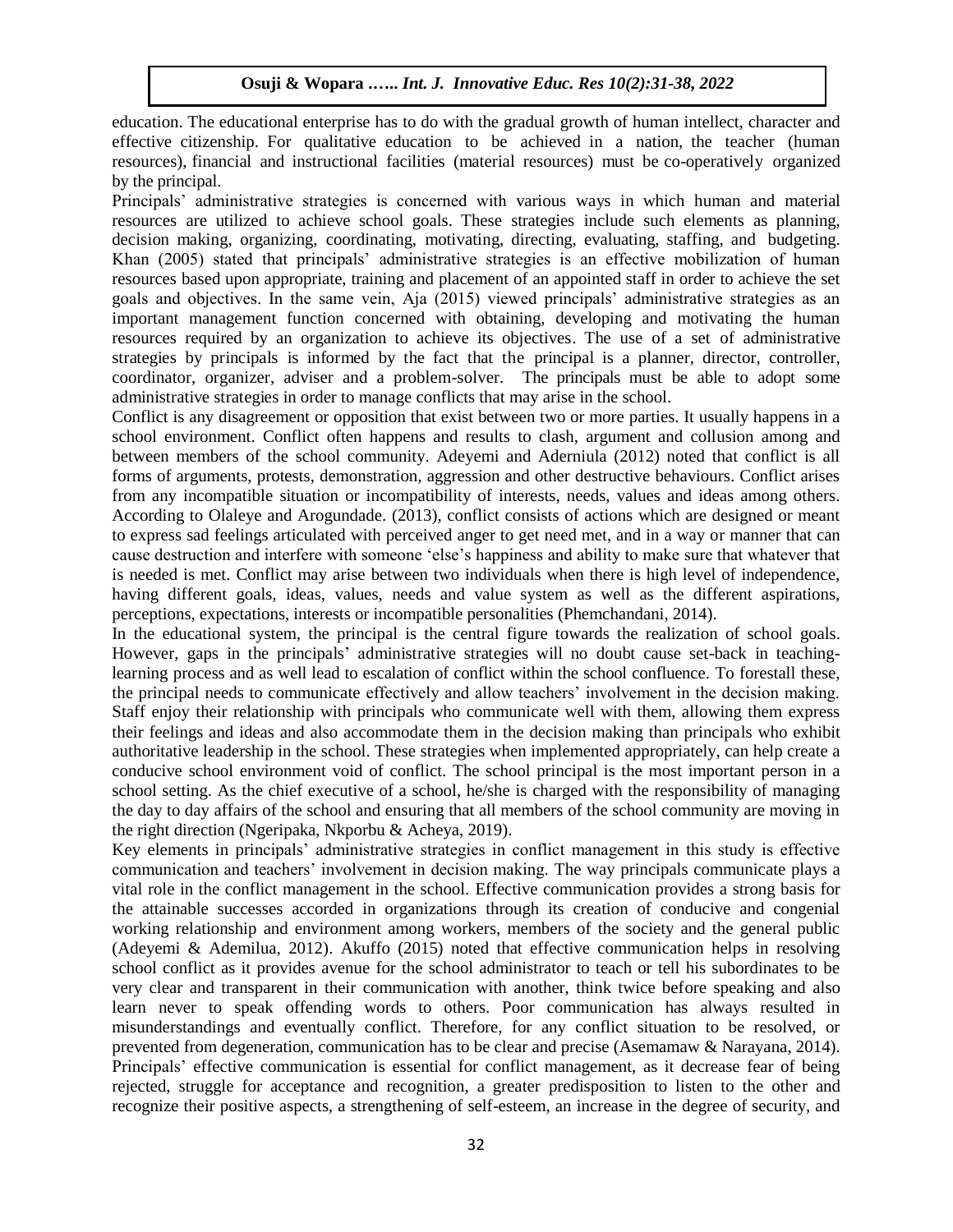education. The educational enterprise has to do with the gradual growth of human intellect, character and effective citizenship. For qualitative education to be achieved in a nation, the teacher (human resources), financial and instructional facilities (material resources) must be co-operatively organized by the principal.

Principals' administrative strategies is concerned with various ways in which human and material resources are utilized to achieve school goals. These strategies include such elements as planning, decision making, organizing, coordinating, motivating, directing, evaluating, staffing, and budgeting. Khan (2005) stated that principals' administrative strategies is an effective mobilization of human resources based upon appropriate, training and placement of an appointed staff in order to achieve the set goals and objectives. In the same vein, Aja (2015) viewed principals' administrative strategies as an important management function concerned with obtaining, developing and motivating the human resources required by an organization to achieve its objectives. The use of a set of administrative strategies by principals is informed by the fact that the principal is a planner, director, controller, coordinator, organizer, adviser and a problem-solver. The principals must be able to adopt some administrative strategies in order to manage conflicts that may arise in the school.

Conflict is any disagreement or opposition that exist between two or more parties. It usually happens in a school environment. Conflict often happens and results to clash, argument and collusion among and between members of the school community. Adeyemi and Aderniula (2012) noted that conflict is all forms of arguments, protests, demonstration, aggression and other destructive behaviours. Conflict arises from any incompatible situation or incompatibility of interests, needs, values and ideas among others. According to Olaleye and Arogundade. (2013), conflict consists of actions which are designed or meant to express sad feelings articulated with perceived anger to get need met, and in a way or manner that can cause destruction and interfere with someone 'else's happiness and ability to make sure that whatever that is needed is met. Conflict may arise between two individuals when there is high level of independence, having different goals, ideas, values, needs and value system as well as the different aspirations, perceptions, expectations, interests or incompatible personalities (Phemchandani, 2014).

In the educational system, the principal is the central figure towards the realization of school goals. However, gaps in the principals' administrative strategies will no doubt cause set-back in teachinglearning process and as well lead to escalation of conflict within the school confluence. To forestall these, the principal needs to communicate effectively and allow teachers' involvement in the decision making. Staff enjoy their relationship with principals who communicate well with them, allowing them express their feelings and ideas and also accommodate them in the decision making than principals who exhibit authoritative leadership in the school. These strategies when implemented appropriately, can help create a conducive school environment void of conflict. The school principal is the most important person in a school setting. As the chief executive of a school, he/she is charged with the responsibility of managing the day to day affairs of the school and ensuring that all members of the school community are moving in the right direction (Ngeripaka, Nkporbu & Acheya, 2019).

Key elements in principals' administrative strategies in conflict management in this study is effective communication and teachers' involvement in decision making. The way principals communicate plays a vital role in the conflict management in the school. Effective communication provides a strong basis for the attainable successes accorded in organizations through its creation of conducive and congenial working relationship and environment among workers, members of the society and the general public (Adeyemi & Ademilua, 2012). Akuffo (2015) noted that effective communication helps in resolving school conflict as it provides avenue for the school administrator to teach or tell his subordinates to be very clear and transparent in their communication with another, think twice before speaking and also learn never to speak offending words to others. Poor communication has always resulted in misunderstandings and eventually conflict. Therefore, for any conflict situation to be resolved, or prevented from degeneration, communication has to be clear and precise (Asemamaw & Narayana, 2014). Principals' effective communication is essential for conflict management, as it decrease fear of being rejected, struggle for acceptance and recognition, a greater predisposition to listen to the other and recognize their positive aspects, a strengthening of self-esteem, an increase in the degree of security, and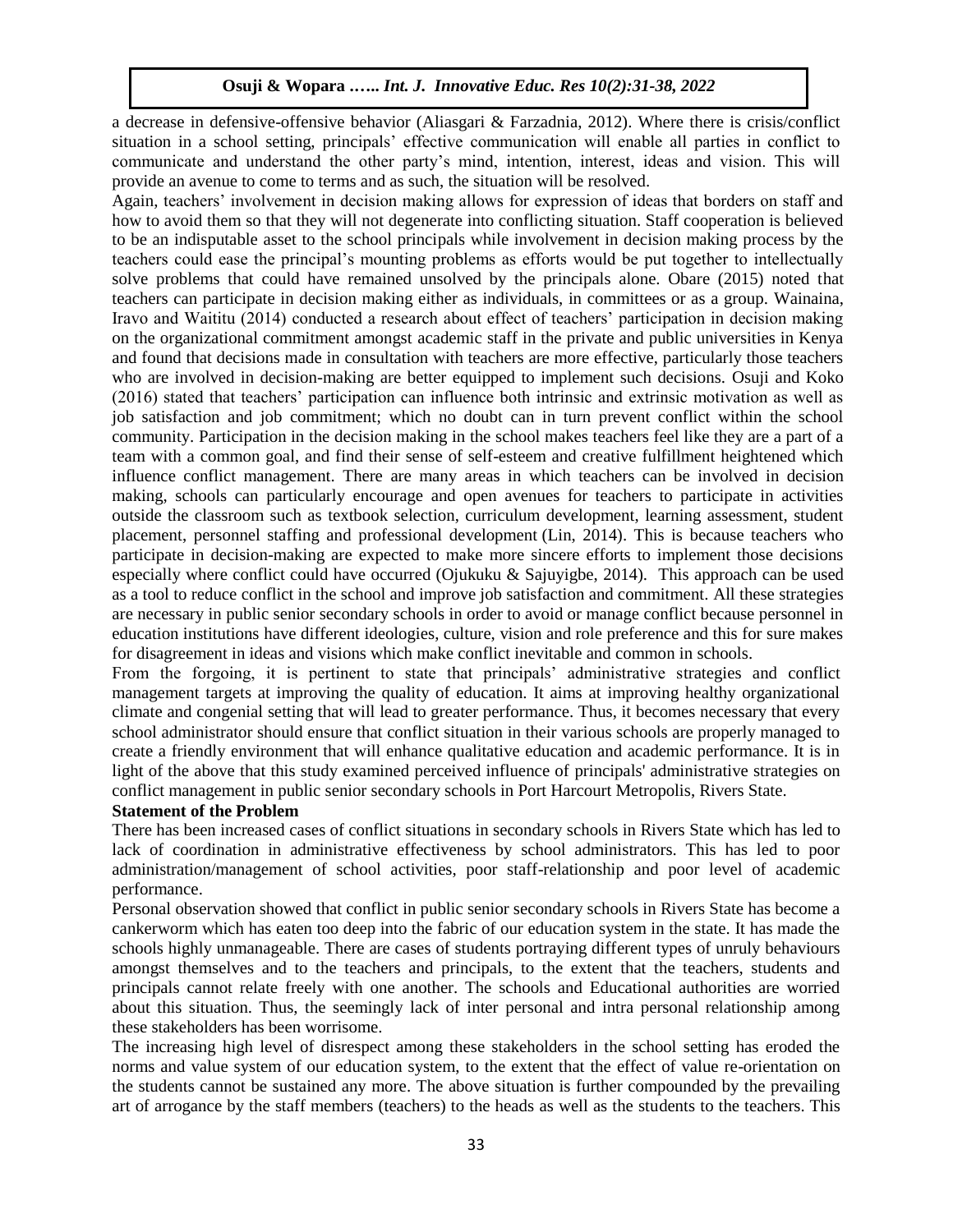a decrease in defensive-offensive behavior (Aliasgari & Farzadnia, 2012). Where there is crisis/conflict situation in a school setting, principals' effective communication will enable all parties in conflict to communicate and understand the other party's mind, intention, interest, ideas and vision. This will provide an avenue to come to terms and as such, the situation will be resolved.

Again, teachers' involvement in decision making allows for expression of ideas that borders on staff and how to avoid them so that they will not degenerate into conflicting situation. Staff cooperation is believed to be an indisputable asset to the school principals while involvement in decision making process by the teachers could ease the principal's mounting problems as efforts would be put together to intellectually solve problems that could have remained unsolved by the principals alone. Obare (2015) noted that teachers can participate in decision making either as individuals, in committees or as a group. Wainaina, Iravo and Waititu (2014) conducted a research about effect of teachers' participation in decision making on the organizational commitment amongst academic staff in the private and public universities in Kenya and found that decisions made in consultation with teachers are more effective, particularly those teachers who are involved in decision-making are better equipped to implement such decisions. Osuji and Koko (2016) stated that teachers' participation can influence both intrinsic and extrinsic motivation as well as job satisfaction and job commitment; which no doubt can in turn prevent conflict within the school community. Participation in the decision making in the school makes teachers feel like they are a part of a team with a common goal, and find their sense of self-esteem and creative fulfillment heightened which influence conflict management. There are many areas in which teachers can be involved in decision making, schools can particularly encourage and open avenues for teachers to participate in activities outside the classroom such as textbook selection, curriculum development, learning assessment, student placement, personnel staffing and professional development (Lin, 2014). This is because teachers who participate in decision-making are expected to make more sincere efforts to implement those decisions especially where conflict could have occurred (Ojukuku & Sajuyigbe, 2014). This approach can be used as a tool to reduce conflict in the school and improve job satisfaction and commitment. All these strategies are necessary in public senior secondary schools in order to avoid or manage conflict because personnel in education institutions have different ideologies, culture, vision and role preference and this for sure makes for disagreement in ideas and visions which make conflict inevitable and common in schools.

From the forgoing, it is pertinent to state that principals' administrative strategies and conflict management targets at improving the quality of education. It aims at improving healthy organizational climate and congenial setting that will lead to greater performance. Thus, it becomes necessary that every school administrator should ensure that conflict situation in their various schools are properly managed to create a friendly environment that will enhance qualitative education and academic performance. It is in light of the above that this study examined perceived influence of principals' administrative strategies on conflict management in public senior secondary schools in Port Harcourt Metropolis, Rivers State.

# **Statement of the Problem**

There has been increased cases of conflict situations in secondary schools in Rivers State which has led to lack of coordination in administrative effectiveness by school administrators. This has led to poor administration/management of school activities, poor staff-relationship and poor level of academic performance.

Personal observation showed that conflict in public senior secondary schools in Rivers State has become a cankerworm which has eaten too deep into the fabric of our education system in the state. It has made the schools highly unmanageable. There are cases of students portraying different types of unruly behaviours amongst themselves and to the teachers and principals, to the extent that the teachers, students and principals cannot relate freely with one another. The schools and Educational authorities are worried about this situation. Thus, the seemingly lack of inter personal and intra personal relationship among these stakeholders has been worrisome.

The increasing high level of disrespect among these stakeholders in the school setting has eroded the norms and value system of our education system, to the extent that the effect of value re-orientation on the students cannot be sustained any more. The above situation is further compounded by the prevailing art of arrogance by the staff members (teachers) to the heads as well as the students to the teachers. This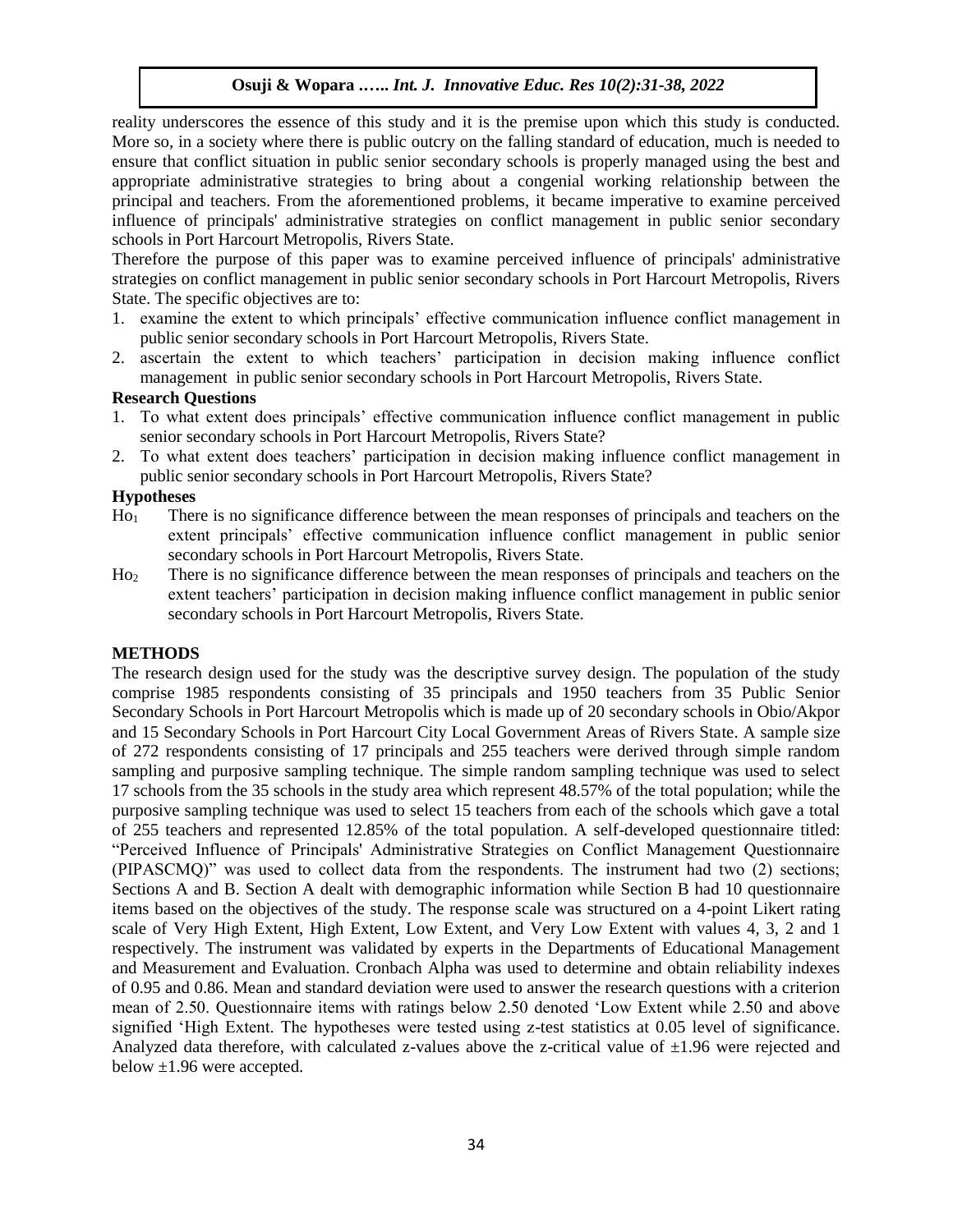reality underscores the essence of this study and it is the premise upon which this study is conducted. More so, in a society where there is public outcry on the falling standard of education, much is needed to ensure that conflict situation in public senior secondary schools is properly managed using the best and appropriate administrative strategies to bring about a congenial working relationship between the principal and teachers. From the aforementioned problems, it became imperative to examine perceived influence of principals' administrative strategies on conflict management in public senior secondary schools in Port Harcourt Metropolis, Rivers State.

Therefore the purpose of this paper was to examine perceived influence of principals' administrative strategies on conflict management in public senior secondary schools in Port Harcourt Metropolis, Rivers State. The specific objectives are to:

- 1. examine the extent to which principals' effective communication influence conflict management in public senior secondary schools in Port Harcourt Metropolis, Rivers State.
- 2. ascertain the extent to which teachers' participation in decision making influence conflict management in public senior secondary schools in Port Harcourt Metropolis, Rivers State.

# **Research Questions**

- 1. To what extent does principals' effective communication influence conflict management in public senior secondary schools in Port Harcourt Metropolis, Rivers State?
- 2. To what extent does teachers' participation in decision making influence conflict management in public senior secondary schools in Port Harcourt Metropolis, Rivers State?

# **Hypotheses**

- Ho<sup>1</sup> There is no significance difference between the mean responses of principals and teachers on the extent principals' effective communication influence conflict management in public senior secondary schools in Port Harcourt Metropolis, Rivers State.
- Ho<sup>2</sup> There is no significance difference between the mean responses of principals and teachers on the extent teachers' participation in decision making influence conflict management in public senior secondary schools in Port Harcourt Metropolis, Rivers State.

# **METHODS**

The research design used for the study was the descriptive survey design. The population of the study comprise 1985 respondents consisting of 35 principals and 1950 teachers from 35 Public Senior Secondary Schools in Port Harcourt Metropolis which is made up of 20 secondary schools in Obio/Akpor and 15 Secondary Schools in Port Harcourt City Local Government Areas of Rivers State. A sample size of 272 respondents consisting of 17 principals and 255 teachers were derived through simple random sampling and purposive sampling technique. The simple random sampling technique was used to select 17 schools from the 35 schools in the study area which represent 48.57% of the total population; while the purposive sampling technique was used to select 15 teachers from each of the schools which gave a total of 255 teachers and represented 12.85% of the total population. A self-developed questionnaire titled: "Perceived Influence of Principals' Administrative Strategies on Conflict Management Questionnaire (PIPASCMQ)" was used to collect data from the respondents. The instrument had two (2) sections; Sections A and B. Section A dealt with demographic information while Section B had 10 questionnaire items based on the objectives of the study. The response scale was structured on a 4-point Likert rating scale of Very High Extent, High Extent, Low Extent, and Very Low Extent with values 4, 3, 2 and 1 respectively. The instrument was validated by experts in the Departments of Educational Management and Measurement and Evaluation. Cronbach Alpha was used to determine and obtain reliability indexes of 0.95 and 0.86. Mean and standard deviation were used to answer the research questions with a criterion mean of 2.50. Questionnaire items with ratings below 2.50 denoted 'Low Extent while 2.50 and above signified 'High Extent. The hypotheses were tested using z-test statistics at 0.05 level of significance. Analyzed data therefore, with calculated z-values above the z-critical value of  $\pm 1.96$  were rejected and below ±1.96 were accepted.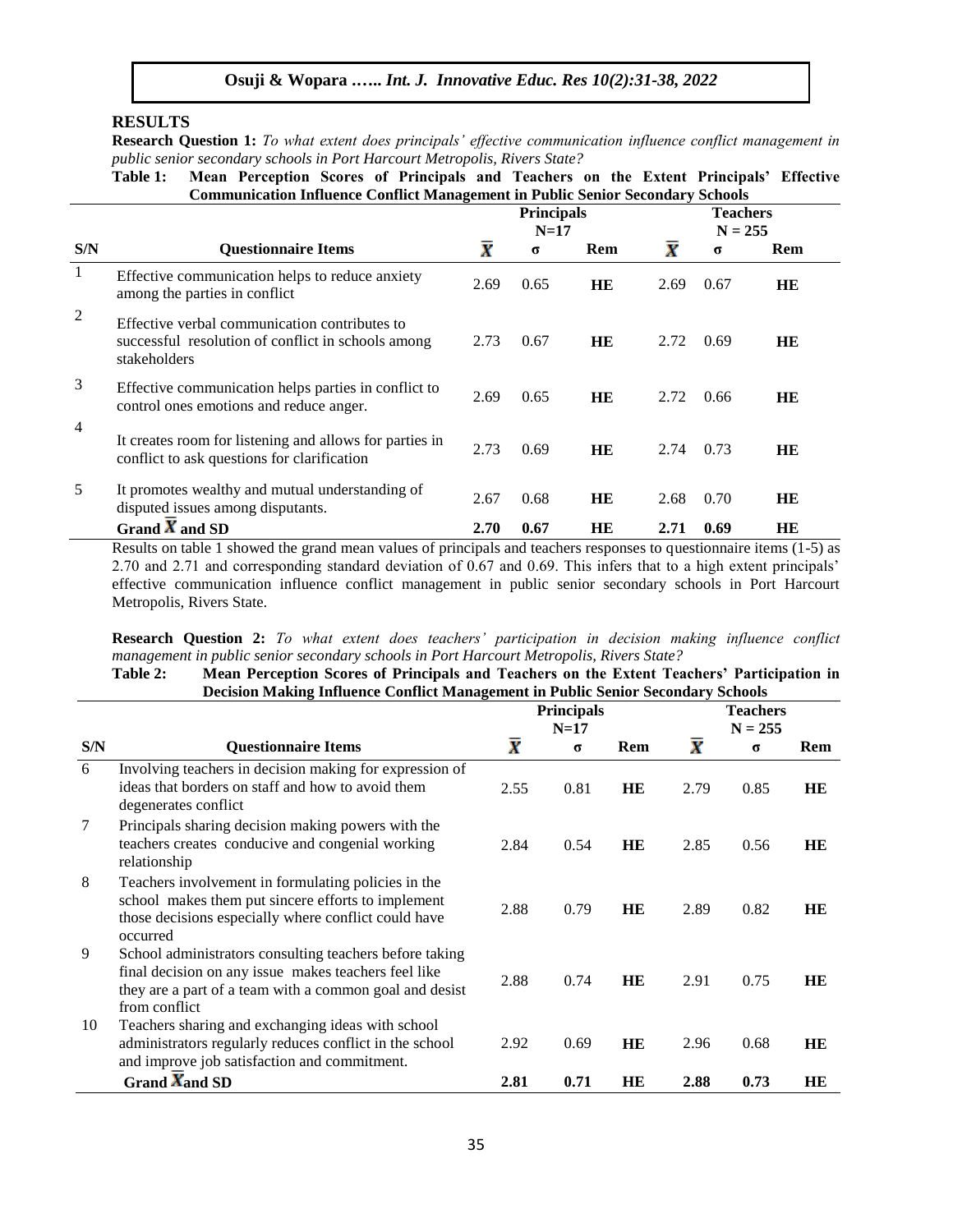#### **RESULTS**

**Research Question 1:** *To what extent does principals' effective communication influence conflict management in public senior secondary schools in Port Harcourt Metropolis, Rivers State?*

**Table 1: Mean Perception Scores of Principals and Teachers on the Extent Principals' Effective Communication Influence Conflict Management in Public Senior Secondary Schools**

|                |                                                                                                                     |                    | <b>Principals</b><br>$N=17$ |     | <b>Teachers</b><br>$N = 255$ |          |     |
|----------------|---------------------------------------------------------------------------------------------------------------------|--------------------|-----------------------------|-----|------------------------------|----------|-----|
| S/N            | <b>Questionnaire Items</b>                                                                                          | $\bar{\textbf{x}}$ | $\sigma$                    | Rem | $\bar{\textbf{x}}$           | $\sigma$ | Rem |
| -1             | Effective communication helps to reduce anxiety<br>among the parties in conflict                                    | 2.69               | 0.65                        | HB. | 2.69                         | 0.67     | HE  |
| 2              | Effective verbal communication contributes to<br>successful resolution of conflict in schools among<br>stakeholders | 2.73               | 0.67                        | HE  | 2.72                         | 0.69     | HB. |
| 3              | Effective communication helps parties in conflict to<br>control ones emotions and reduce anger.                     | 2.69               | 0.65                        | HE  | 2.72                         | 0.66     | HЕ  |
| $\overline{4}$ | It creates room for listening and allows for parties in<br>conflict to ask questions for clarification              | 2.73               | 0.69                        | HE  | 2.74                         | 0.73     | HB. |
| 5              | It promotes wealthy and mutual understanding of<br>disputed issues among disputants.                                | 2.67               | 0.68                        | HB. | 2.68                         | 0.70     | HB. |
|                | Grand $\overline{X}$ and SD                                                                                         | 2.70               | 0.67                        | HB. | 2.71                         | 0.69     | HB. |

Results on table 1 showed the grand mean values of principals and teachers responses to questionnaire items (1-5) as 2.70 and 2.71 and corresponding standard deviation of 0.67 and 0.69. This infers that to a high extent principals' effective communication influence conflict management in public senior secondary schools in Port Harcourt Metropolis, Rivers State.

**Research Question 2:** *To what extent does teachers' participation in decision making influence conflict management in public senior secondary schools in Port Harcourt Metropolis, Rivers State?*

**Table 2: Mean Perception Scores of Principals and Teachers on the Extent Teachers' Participation in Decision Making Influence Conflict Management in Public Senior Secondary Schools**

|     |                                                                                                                                                                                             |                    | <b>Principals</b><br>$N=17$ |           | <b>Teachers</b><br>$N = 255$ |          |           |  |
|-----|---------------------------------------------------------------------------------------------------------------------------------------------------------------------------------------------|--------------------|-----------------------------|-----------|------------------------------|----------|-----------|--|
| S/N | <b>Questionnaire Items</b>                                                                                                                                                                  | $\bar{\textbf{x}}$ | $\sigma$                    | Rem       | $\bar{\textbf{x}}$           | $\sigma$ | Rem       |  |
| 6   | Involving teachers in decision making for expression of<br>ideas that borders on staff and how to avoid them<br>degenerates conflict                                                        | 2.55               | 0.81                        | HE        | 2.79                         | 0.85     | HE        |  |
| 7   | Principals sharing decision making powers with the<br>teachers creates conducive and congenial working<br>relationship                                                                      | 2.84               | 0.54                        | HE        | 2.85                         | 0.56     | HE        |  |
| 8   | Teachers involvement in formulating policies in the<br>school makes them put sincere efforts to implement<br>those decisions especially where conflict could have<br>occurred               | 2.88               | 0.79                        | HE        | 2.89                         | 0.82     | HE        |  |
| 9   | School administrators consulting teachers before taking<br>final decision on any issue makes teachers feel like<br>they are a part of a team with a common goal and desist<br>from conflict | 2.88               | 0.74                        | HE        | 2.91                         | 0.75     | <b>HE</b> |  |
| 10  | Teachers sharing and exchanging ideas with school<br>administrators regularly reduces conflict in the school<br>and improve job satisfaction and commitment.                                | 2.92               | 0.69                        | <b>HE</b> | 2.96                         | 0.68     | <b>HE</b> |  |
|     | Grand $\overline{X}$ and SD                                                                                                                                                                 | 2.81               | 0.71                        | HE        | 2.88                         | 0.73     | HE        |  |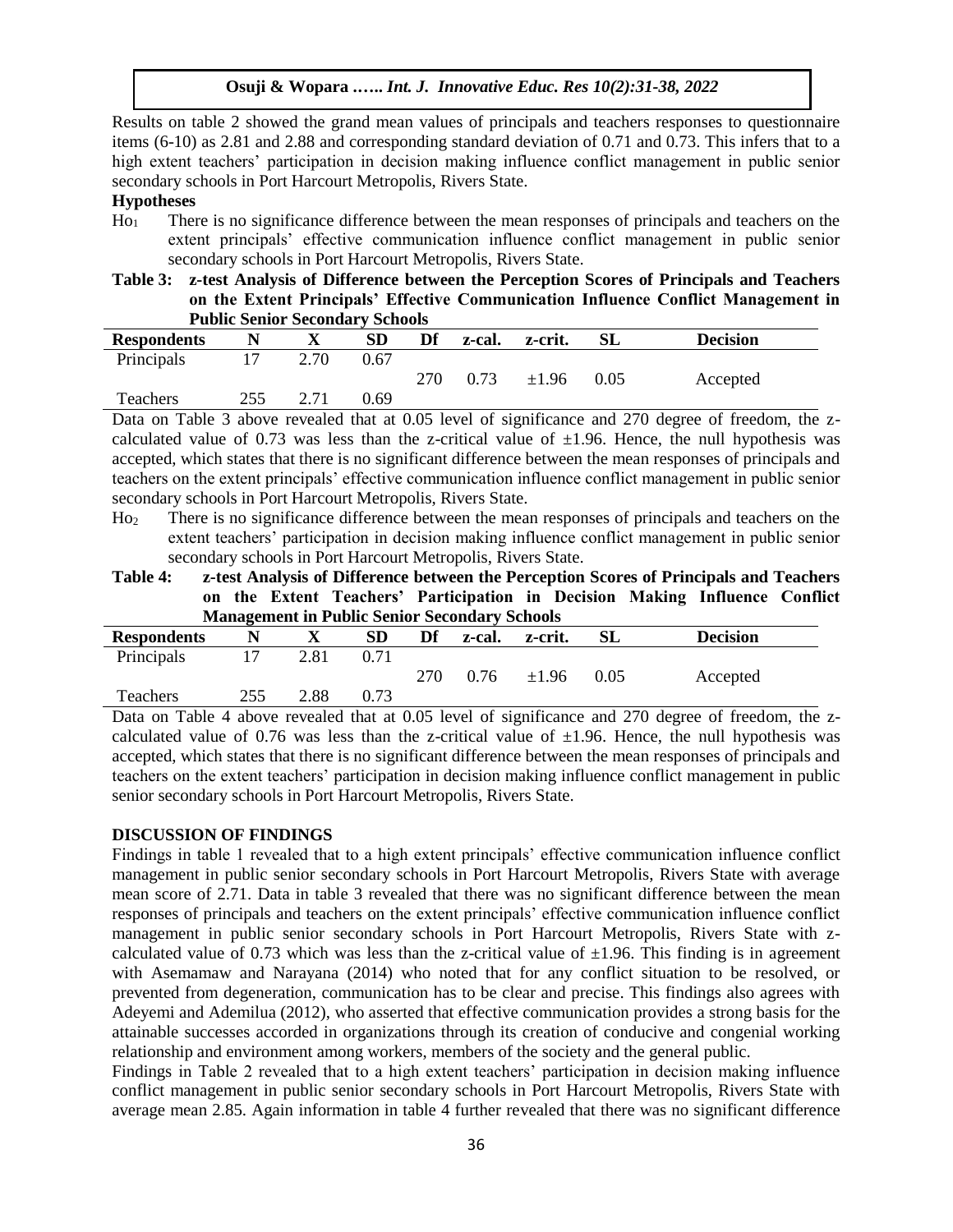Results on table 2 showed the grand mean values of principals and teachers responses to questionnaire items (6-10) as 2.81 and 2.88 and corresponding standard deviation of 0.71 and 0.73. This infers that to a high extent teachers' participation in decision making influence conflict management in public senior secondary schools in Port Harcourt Metropolis, Rivers State.

### **Hypotheses**

Ho<sup>1</sup> There is no significance difference between the mean responses of principals and teachers on the extent principals' effective communication influence conflict management in public senior secondary schools in Port Harcourt Metropolis, Rivers State.

**Table 3: z-test Analysis of Difference between the Perception Scores of Principals and Teachers on the Extent Principals' Effective Communication Influence Conflict Management in Public Senior Secondary Schools**

| T WANTO DUMIOI DUCUMUMI I DUMOOM |     |      |      |     |        |            |      |                 |  |  |
|----------------------------------|-----|------|------|-----|--------|------------|------|-----------------|--|--|
| <b>Respondents</b>               |     |      | SD   | Df  | z-cal. | z-crit.    | SL   | <b>Decision</b> |  |  |
| Principals                       |     | 2.70 | 0.67 |     |        |            |      |                 |  |  |
|                                  |     |      |      | 270 | 0.73   | $\pm 1.96$ | 0.05 | Accepted        |  |  |
| <b>Teachers</b>                  | 255 |      | 0.69 |     |        |            |      |                 |  |  |

Data on Table 3 above revealed that at 0.05 level of significance and 270 degree of freedom, the zcalculated value of 0.73 was less than the z-critical value of  $\pm 1.96$ . Hence, the null hypothesis was accepted, which states that there is no significant difference between the mean responses of principals and teachers on the extent principals' effective communication influence conflict management in public senior secondary schools in Port Harcourt Metropolis, Rivers State.

- Ho<sup>2</sup> There is no significance difference between the mean responses of principals and teachers on the extent teachers' participation in decision making influence conflict management in public senior secondary schools in Port Harcourt Metropolis, Rivers State.
- **Table 4: z-test Analysis of Difference between the Perception Scores of Principals and Teachers on the Extent Teachers' Participation in Decision Making Influence Conflict Management in Public Senior Secondary Schools**

| <b>Respondents</b> |     | $\boldsymbol{\Lambda}$ | SD   | Df  | z-cal. | z-crit.    | SL   | <b>Decision</b> |
|--------------------|-----|------------------------|------|-----|--------|------------|------|-----------------|
| Principals         |     | 2.81                   | 0.71 |     |        |            |      |                 |
|                    |     |                        |      | 270 | 0.76   | $\pm 1.96$ | 0.05 | Accepted        |
| Teachers           | 255 | 2.88                   | 0.73 |     |        |            |      |                 |

Data on Table 4 above revealed that at 0.05 level of significance and 270 degree of freedom, the zcalculated value of 0.76 was less than the z-critical value of  $\pm 1.96$ . Hence, the null hypothesis was accepted, which states that there is no significant difference between the mean responses of principals and teachers on the extent teachers' participation in decision making influence conflict management in public senior secondary schools in Port Harcourt Metropolis, Rivers State.

#### **DISCUSSION OF FINDINGS**

Findings in table 1 revealed that to a high extent principals' effective communication influence conflict management in public senior secondary schools in Port Harcourt Metropolis, Rivers State with average mean score of 2.71. Data in table 3 revealed that there was no significant difference between the mean responses of principals and teachers on the extent principals' effective communication influence conflict management in public senior secondary schools in Port Harcourt Metropolis, Rivers State with zcalculated value of 0.73 which was less than the z-critical value of  $\pm 1.96$ . This finding is in agreement with Asemamaw and Narayana (2014) who noted that for any conflict situation to be resolved, or prevented from degeneration, communication has to be clear and precise. This findings also agrees with Adeyemi and Ademilua (2012), who asserted that effective communication provides a strong basis for the attainable successes accorded in organizations through its creation of conducive and congenial working relationship and environment among workers, members of the society and the general public.

Findings in Table 2 revealed that to a high extent teachers' participation in decision making influence conflict management in public senior secondary schools in Port Harcourt Metropolis, Rivers State with average mean 2.85. Again information in table 4 further revealed that there was no significant difference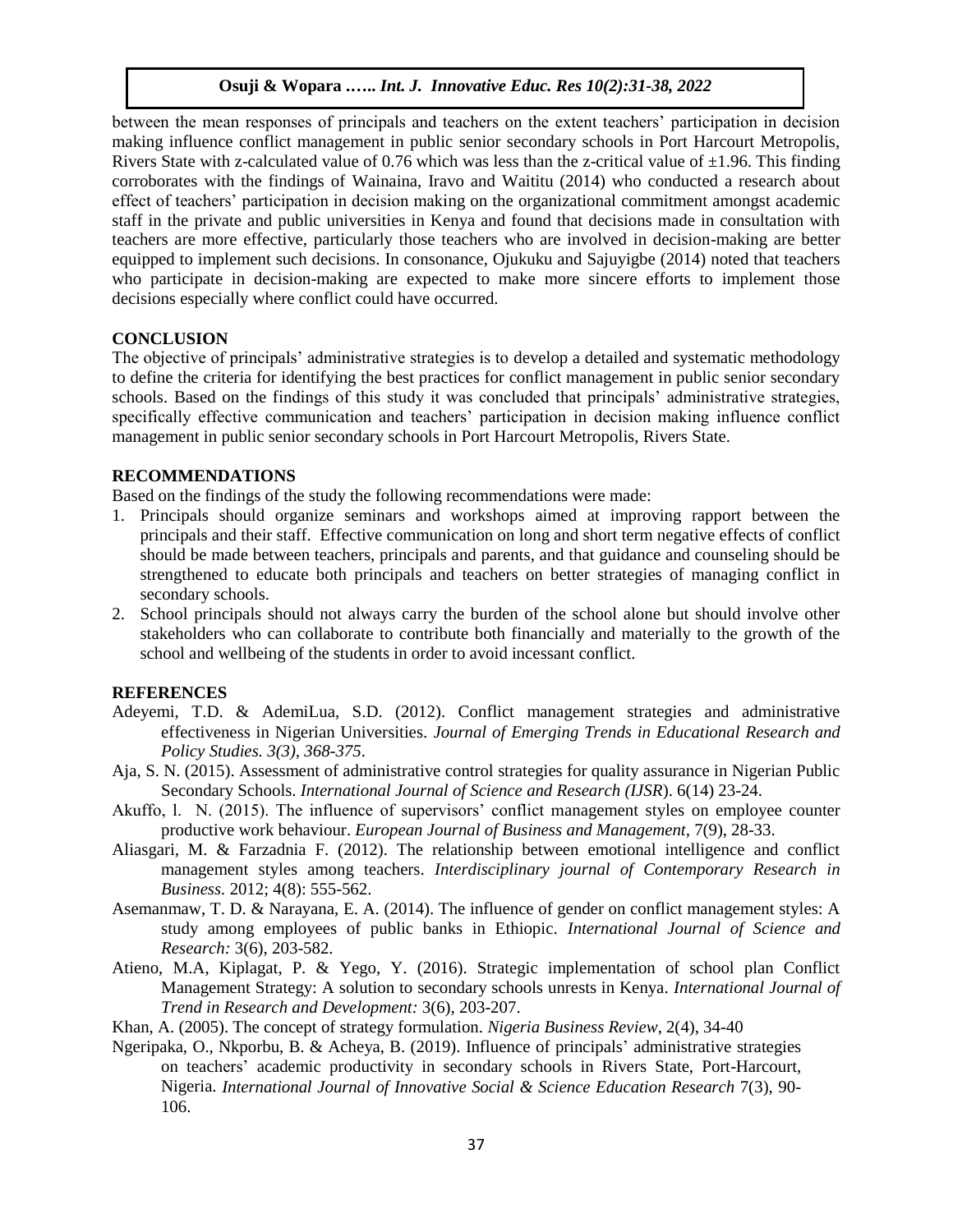between the mean responses of principals and teachers on the extent teachers' participation in decision making influence conflict management in public senior secondary schools in Port Harcourt Metropolis, Rivers State with z-calculated value of 0.76 which was less than the z-critical value of  $\pm 1.96$ . This finding corroborates with the findings of Wainaina, Iravo and Waititu (2014) who conducted a research about effect of teachers' participation in decision making on the organizational commitment amongst academic staff in the private and public universities in Kenya and found that decisions made in consultation with teachers are more effective, particularly those teachers who are involved in decision-making are better equipped to implement such decisions. In consonance, Ojukuku and Sajuyigbe (2014) noted that teachers who participate in decision-making are expected to make more sincere efforts to implement those decisions especially where conflict could have occurred.

# **CONCLUSION**

The objective of principals' administrative strategies is to develop a detailed and systematic methodology to define the criteria for identifying the best practices for conflict management in public senior secondary schools. Based on the findings of this study it was concluded that principals' administrative strategies, specifically effective communication and teachers' participation in decision making influence conflict management in public senior secondary schools in Port Harcourt Metropolis, Rivers State.

# **RECOMMENDATIONS**

Based on the findings of the study the following recommendations were made:

- 1. Principals should organize seminars and workshops aimed at improving rapport between the principals and their staff. Effective communication on long and short term negative effects of conflict should be made between teachers, principals and parents, and that guidance and counseling should be strengthened to educate both principals and teachers on better strategies of managing conflict in secondary schools.
- 2. School principals should not always carry the burden of the school alone but should involve other stakeholders who can collaborate to contribute both financially and materially to the growth of the school and wellbeing of the students in order to avoid incessant conflict.

# **REFERENCES**

- Adeyemi, T.D. & AdemiLua, S.D. (2012). Conflict management strategies and administrative effectiveness in Nigerian Universities. *Journal of Emerging Trends in Educational Research and Policy Studies. 3(3), 368-375*.
- Aja, S. N. (2015). Assessment of administrative control strategies for quality assurance in Nigerian Public Secondary Schools. *International Journal of Science and Research (IJSR*). 6(14) 23-24.
- Akuffo, l. N. (2015). The influence of supervisors' conflict management styles on employee counter productive work behaviour. *European Journal of Business and Management,* 7(9), 28-33.
- Aliasgari, M. & Farzadnia F. (2012). The relationship between emotional intelligence and conflict management styles among teachers. *Interdisciplinary journal of Contemporary Research in Business.* 2012; 4(8): 555-562.
- Asemanmaw, T. D. & Narayana, E. A. (2014). The influence of gender on conflict management styles: A study among employees of public banks in Ethiopic. *International Journal of Science and Research:* 3(6), 203-582.
- Atieno, M.A, Kiplagat, P. & Yego, Y. (2016). Strategic implementation of school plan Conflict Management Strategy: A solution to secondary schools unrests in Kenya. *International Journal of Trend in Research and Development:* 3(6), 203-207.
- Khan, A. (2005). The concept of strategy formulation*. Nigeria Business Review*, 2(4), 34-40
- Ngeripaka, O., Nkporbu, B. & Acheya, B. (2019). Influence of principals' administrative strategies on teachers' academic productivity in secondary schools in Rivers State, Port-Harcourt, Nigeria. *International Journal of Innovative Social & Science Education Research* 7(3), 90- 106.